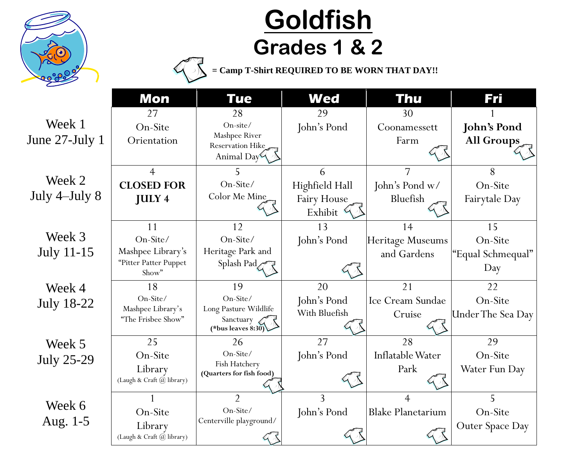

## **Goldfish Grades 1 & 2**

**= Camp T-Shirt REQUIRED TO BE WORN THAT DAY!!**

|                             | <b>Mon</b>                                                            | <b>Tue</b>                                                                                       | <b>Wed</b>                                                  | Thu                                   | Fri                                       |
|-----------------------------|-----------------------------------------------------------------------|--------------------------------------------------------------------------------------------------|-------------------------------------------------------------|---------------------------------------|-------------------------------------------|
| Week 1<br>June 27-July 1    | 27<br>On-Site<br>Orientation                                          | 28<br>On-site/<br>Mashpee River<br>Reservation Hike<br>Animal Day                                | 29<br>John's Pond                                           | 30<br>Coonamessett<br>Farm            | <b>John's Pond</b><br>All Groups          |
| Week 2<br>July 4-July 8     | $\overline{4}$<br><b>CLOSED FOR</b><br><b>JULY 4</b>                  | 5.<br>On-Site/<br>Color Me Mine                                                                  | 6<br>Highfield Hall<br>Fairy House<br>Exhibit $\mathcal{L}$ | 7<br>John's Pond w/<br>Bluefish       | 8<br>On-Site<br>Fairytale Day             |
| Week 3<br><b>July 11-15</b> | 11<br>On-Site/<br>Mashpee Library's<br>"Pitter Patter Puppet<br>Show" | 12<br>On-Site/<br>Heritage Park and<br>Splash Pad                                                | 13<br>John's Pond                                           | 14<br>Heritage Museums<br>and Gardens | 15<br>On-Site<br>"Equal Schmequal"<br>Day |
| Week 4<br><b>July 18-22</b> | 18<br>On-Site/<br>Mashpee Library's<br>"The Frisbee Show"             | 19<br>On-Site/<br>Long Pasture Wildlife<br>Sanctuary <a><br/>(*bus leaves <math>8:30</math>)</a> | 20<br>John's Pond<br>With Bluefish                          | 21<br>Ice Cream Sundae<br>Cruise      | 22<br>On-Site<br><b>Under The Sea Day</b> |
| Week 5<br><b>July 25-29</b> | 25<br>On-Site<br>Library<br>(Laugh & Craft @ library)                 | 26<br>On-Site/<br>Fish Hatchery<br>(Quarters for fish food)                                      | 27<br>John's Pond                                           | 28<br>Inflatable Water<br>Park        | 29<br>On-Site<br>Water Fun Day            |
| Week 6<br>Aug. 1-5          | On-Site<br>Library<br>(Laugh & Craft @ library)                       | $\overline{2}$<br>On-Site/<br>Centerville playground/<br>$\sqrt{2}$                              | 3<br>John's Pond                                            | 4<br><b>Blake Planetarium</b>         | 5<br>On-Site<br>Outer Space Day           |